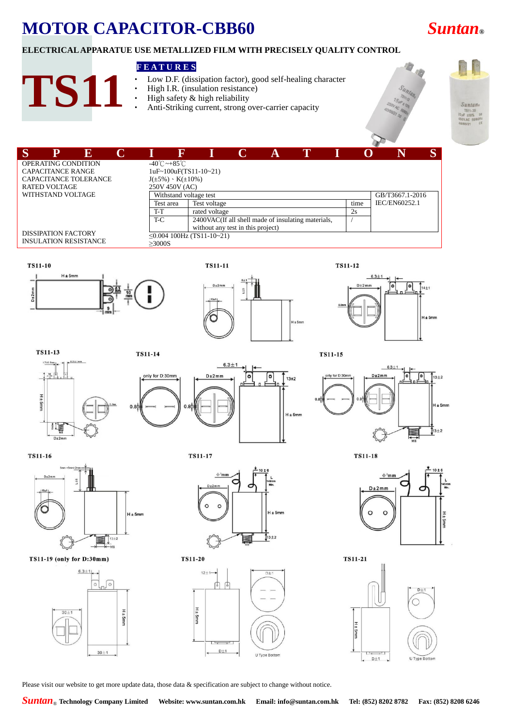# **MOTOR CAPACITOR-CBB60** *Suntan***®**

## **ELECTRICAL APPARATUE USE METALLIZED FILM WITH PRECISELY QUALITY CONTROL**

### **F E A T U R E S**

Low D.F. (dissipation factor), good self-healing character

# **TS11**

#### High I.R. (insulation resistance) High safety & high reliability

Anti-Striking current, strong over-carrier capacity



| S |                                                            | $\mathbf E$ |                                   | ß                              |                                   | A |                                                    |  |      |  |               | S |
|---|------------------------------------------------------------|-------------|-----------------------------------|--------------------------------|-----------------------------------|---|----------------------------------------------------|--|------|--|---------------|---|
|   | OPERATING CONDITION                                        |             | $-40^{\circ}$ C ~ $+85^{\circ}$ C |                                |                                   |   |                                                    |  |      |  |               |   |
|   | <b>CAPACITANCE RANGE</b>                                   |             |                                   | $1uF~100uF(TS11-10~21)$        |                                   |   |                                                    |  |      |  |               |   |
|   | CAPACITANCE TOLERANCE                                      |             |                                   | $J(\pm 5\%) \cdot K(\pm 10\%)$ |                                   |   |                                                    |  |      |  |               |   |
|   | <b>RATED VOLTAGE</b>                                       |             |                                   | 250V 450V (AC)                 |                                   |   |                                                    |  |      |  |               |   |
|   | WITHSTAND VOLTAGE                                          |             |                                   | Withstand voltage test         |                                   |   | GB/T3667.1-2016                                    |  |      |  |               |   |
|   |                                                            |             | Test area                         |                                | Test voltage                      |   |                                                    |  | time |  | IEC/EN60252.1 |   |
|   |                                                            |             | T-T                               |                                | rated voltage                     |   |                                                    |  | 2s   |  |               |   |
|   |                                                            |             | T-C                               |                                | without any test in this project) |   | 2400VAC(If all shell made of insulating materials, |  |      |  |               |   |
|   | <b>DISSIPATION FACTORY</b><br><b>INSULATION RESISTANCE</b> |             | >3000S                            |                                | $\leq$ 0.004 100Hz (TS11-10~21)   |   |                                                    |  |      |  |               |   |
|   |                                                            |             |                                   |                                |                                   |   |                                                    |  |      |  |               |   |









**TS11-13** 

**TS11-14** 

n s



**TS11-15** 



**TS11-18** 

**TS11-16** 

组

 $D+2mr$ 

H ± 5mm



TS11-19 (only for D:30mm)



**TS11-17** 



**TS11-20** 



 $D \pm 2m m$  $\Omega$  $\Omega$ 

**TS11-21** 

 $H \pm 5mm$ 



Please visit our website to get more update data, those data & specification are subject to change without notice.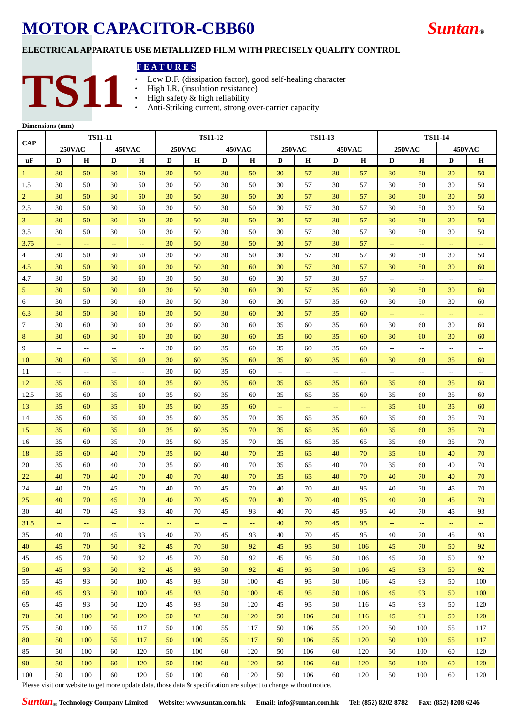## **MOTOR CAPACITOR-CBB60** *Suntan***®**



### **ELECTRICAL APPARATUE USE METALLIZED FILM WITH PRECISELY QUALITY CONTROL**

#### **F E A T U R E S**

- Low D.F. (dissipation factor), good self-healing character<br>• High I.R. (insulation resistance)<br>• High safety & high reliability<br>• Anti-Striking current, strong over-carrier canacity
- **TS11**
- High I.R. (insulation resistance) High safety & high reliability
- Anti-Striking current, strong over-carrier capacity

| Dimensions (mm) |  |
|-----------------|--|
|-----------------|--|

|                  |                          | <b>TS11-11</b> |                          |                           |               |               | <b>TS11-12</b> |                          |                                | <b>TS11-13</b>           |               |               |                                |                |                                                     |                                               |
|------------------|--------------------------|----------------|--------------------------|---------------------------|---------------|---------------|----------------|--------------------------|--------------------------------|--------------------------|---------------|---------------|--------------------------------|----------------|-----------------------------------------------------|-----------------------------------------------|
| <b>CAP</b>       |                          | <b>250VAC</b>  |                          | <b>450VAC</b>             | <b>250VAC</b> |               |                | <b>450VAC</b>            | <b>250VAC</b><br><b>450VAC</b> |                          |               |               | <b>250VAC</b><br><b>450VAC</b> |                |                                                     |                                               |
| <b>uF</b>        | D                        | н              | D                        | Н                         | D             | н             | D              | н                        | D                              | н                        | D             | н             | D                              | н              | D                                                   | н                                             |
| $\mathbf{1}$     | 30                       | 50             | 30                       | 50                        | 30            | 50            | 30             | 50                       | 30                             | 57                       | 30            | 57            | 30                             | 50             | 30                                                  | 50                                            |
| 1.5              | 30                       | 50             | 30                       | 50                        | 30            | 50            | 30             | 50                       | 30                             | 57                       | 30            | 57            | 30                             | 50             | 30                                                  | 50                                            |
| $\overline{2}$   | 30                       | 50             | 30                       | 50                        | 30            | 50            | 30             | 50                       | 30                             | 57                       | 30            | 57            | 30                             | 50             | 30                                                  | 50                                            |
| 2.5              | 30                       | 50             | 30                       | 50                        | 30            | 50            | 30             | 50                       | 30                             | 57                       | 30            | 57            | 30                             | 50             | 30                                                  | 50                                            |
| $\overline{3}$   | 30                       | 50             | 30                       | 50                        | 30            | 50            | 30             | 50                       | 30                             | 57                       | 30            | 57            | 30                             | 50             | 30                                                  | 50                                            |
| 3.5              | 30                       | 50             | 30                       | 50                        | 30            | 50            | 30             | 50                       | 30                             | 57                       | 30            | 57            | 30                             | 50             | 30                                                  | 50                                            |
| 3.75             | $\overline{\phantom{m}}$ | $\rightarrow$  | $\rightarrow$            | $\mathbb{L}^{\mathbb{L}}$ | 30            | 50            | 30             | 50                       | 30                             | 57                       | 30            | 57            | $\rightarrow$                  | $\perp$ .      | $\rightarrow$                                       | $\mathord{\hspace{1pt}\text{--}\hspace{1pt}}$ |
| $\overline{4}$   | 30                       | 50             | 30                       | 50                        | 30            | 50            | 30             | 50                       | 30                             | 57                       | 30            | 57            | 30                             | 50             | 30                                                  | 50                                            |
| 4.5              | 30                       | 50             | 30                       | 60                        | 30            | 50            | 30             | 60                       | 30                             | 57                       | 30            | 57            | 30                             | 50             | 30                                                  | 60                                            |
| 4.7              | 30                       | 50             | 30                       | 60                        | 30            | 50            | 30             | 60                       | 30                             | 57                       | 30            | 57            | $\mathcal{L}_{\mathcal{F}}$    | $\sim$ $-$     | $\mathcal{L}_{\mathcal{F}}$                         | $\overline{\phantom{a}}$                      |
| $5\phantom{.0}$  | 30                       | 50             | 30                       | 60                        | 30            | 50            | 30             | 60                       | 30                             | 57                       | 35            | 60            | 30                             | 50             | 30                                                  | 60                                            |
| $\sqrt{6}$       | 30                       | 50             | 30                       | 60                        | 30            | 50            | 30             | 60                       | 30                             | 57                       | 35            | 60            | 30                             | 50             | 30                                                  | 60                                            |
| 6.3              | 30                       | 50             | 30                       | 60                        | 30            | 50            | 30             | 60                       | 30                             | 57                       | 35            | 60            | $\rightarrow$                  | $\rightarrow$  | $\rightarrow$                                       | $\mathbb{Z}^2$                                |
| $\boldsymbol{7}$ | 30                       | 60             | 30                       | 60                        | 30            | 60            | 30             | 60                       | 35                             | 60                       | 35            | 60            | 30                             | 60             | 30                                                  | 60                                            |
| $\,8\,$          | 30                       | 60             | 30                       | 60                        | 30            | 60            | 30             | 60                       | 35                             | 60                       | 35            | 60            | 30                             | 60             | 30                                                  | 60                                            |
| 9                | $\overline{\phantom{a}}$ | $\sim$         | $\overline{\phantom{a}}$ | $\overline{a}$            | 30            | 60            | 35             | 60                       | 35                             | 60                       | 35            | 60            | $\overline{\phantom{a}}$       | $\overline{a}$ | $\overline{\phantom{a}}$                            | $\overline{\phantom{m}}$                      |
| 10               | 30                       | 60             | 35                       | 60                        | 30            | 60            | 35             | 60                       | 35                             | 60                       | 35            | 60            | 30                             | 60             | 35                                                  | 60                                            |
| 11               | $\qquad \qquad -$        | $\sim$         | $\sim$                   | $\sim$                    | 30            | 60            | 35             | 60                       | $\sim$ $-$                     | $\overline{\phantom{a}}$ | --            | $\sim$        | $\mathcal{L}_{\mathcal{F}}$    | $\sim$ $-$     | $\hspace{0.05cm} -\hspace{0.05cm} -\hspace{0.05cm}$ | $\overline{\phantom{a}}$                      |
| 12               | 35                       | 60             | 35                       | 60                        | 35            | 60            | 35             | 60                       | 35                             | 65                       | 35            | 60            | 35                             | 60             | 35                                                  | 60                                            |
| 12.5             | 35                       | 60             | 35                       | 60                        | 35            | 60            | 35             | 60                       | 35                             | 65                       | 35            | 60            | 35                             | 60             | 35                                                  | 60                                            |
| 13               | 35                       | 60             | 35                       | 60                        | 35            | 60            | 35             | 60                       | $\perp$ .                      | $\rightarrow$            | $\rightarrow$ | $\rightarrow$ | 35                             | 60             | 35                                                  | 60                                            |
| 14               | 35                       | 60             | 35                       | 60                        | 35            | 60            | 35             | 70                       | 35                             | 65                       | 35            | 60            | 35                             | 60             | 35                                                  | 70                                            |
| 15               | 35                       | 60             | 35                       | 60                        | 35            | 60            | 35             | 70                       | 35                             | 65                       | 35            | 60            | 35                             | 60             | 35                                                  | 70                                            |
| 16               | 35                       | 60             | 35                       | 70                        | 35            | 60            | 35             | 70                       | 35                             | 65                       | 35            | 65            | 35                             | 60             | 35                                                  | 70                                            |
| 18               | 35                       | 60             | 40                       | 70                        | 35            | 60            | 40             | 70                       | 35                             | 65                       | 40            | 70            | 35                             | 60             | 40                                                  | 70                                            |
| 20               | 35                       | 60             | 40                       | 70                        | 35            | 60            | 40             | 70                       | 35                             | 65                       | 40            | 70            | 35                             | 60             | 40                                                  | 70                                            |
| 22               | 40                       | 70             | 40                       | 70                        | 40            | 70            | 40             | 70                       | 35                             | 65                       | 40            | 70            | 40                             | 70             | 40                                                  | 70                                            |
| 24               | 40                       | 70             | 45                       | 70                        | 40            | 70            | 45             | 70                       | 40                             | 70                       | 40            | 95            | 40                             | 70             | 45                                                  | 70                                            |
| 25               | 40                       | 70             | 45                       | 70                        | 40            | 70            | 45             | 70                       | 40                             | 70                       | 40            | 95            | 40                             | 70             | 45                                                  | 70                                            |
| 30               | 40                       | 70             | 45                       | 93                        | 40            | 70            | 45             | 93                       | 40                             | 70                       | 45            | 95            | 40                             | 70             | 45                                                  | 93                                            |
| 31.5             | ÷,                       | $\rightarrow$  | ÷,                       | ÷,                        | $\rightarrow$ | $\rightarrow$ | $\rightarrow$  | $\hspace{0.05cm} \dashv$ | 40                             | 70                       | 45            | 95            | $\rightarrow$                  | ÷,             | $\rightarrow$                                       | $\rightarrow$                                 |
| 35               | 40                       | 70             | 45                       | 93                        | 40            | 70            | 45             | 93                       | 40                             | 70                       | 45            | 95            | 40                             | 70             | 45                                                  | 93                                            |
| 40               | 45                       | 70             | 50                       | 92                        | 45            | 70            | 50             | 92                       | 45                             | 95                       | 50            | 106           | 45                             | 70             | 50                                                  | 92                                            |
| 45               | 45                       | 70             | 50                       | 92                        | 45            | 70            | 50             | 92                       | 45                             | 95                       | 50            | 106           | 45                             | 70             | 50                                                  | 92                                            |
| 50               | 45                       | 93             | 50                       | 92                        | 45            | 93            | 50             | 92                       | 45                             | 95                       | 50            | 106           | 45                             | 93             | 50                                                  | 92                                            |
| 55               | 45                       | 93             | 50                       | 100                       | 45            | 93            | 50             | 100                      | 45                             | 95                       | 50            | 106           | 45                             | 93             | 50                                                  | 100                                           |
| 60               | 45                       | 93             | 50                       | 100                       | 45            | 93            | 50             | 100                      | 45                             | 95                       | 50            | 106           | 45                             | 93             | 50                                                  | 100                                           |
| 65               | 45                       | 93             | 50                       | 120                       | 45            | 93            | 50             | 120                      | 45                             | 95                       | 50            | 116           | 45                             | 93             | 50                                                  | 120                                           |
| 70               | 50                       | 100            | 50                       | 120                       | 50            | 92            | 50             | 120                      | 50                             | 106                      | 50            | 116           | 45                             | 93             | 50                                                  | 120                                           |
| 75               | 50                       | 100            | 55                       | 117                       | 50            | 100           | 55             | 117                      | 50                             | 106                      | 55            | 120           | 50                             | 100            | 55                                                  | 117                                           |
| 80               | 50                       | 100            | 55                       | 117                       | 50            | 100           | 55             | 117                      | 50                             | 106                      | 55            | 120           | 50                             | 100            | 55                                                  | 117                                           |
| 85               | 50                       | 100            | 60                       | 120                       | 50            | 100           | 60             | 120                      | 50                             | 106                      | 60            | 120           | 50                             | 100            | 60                                                  | 120                                           |
| 90               | 50                       | 100            | 60                       | 120                       | 50            | 100           | 60             | 120                      | 50                             | 106                      | 60            | 120           | 50                             | 100            | 60                                                  | 120                                           |
| 100              | $50\,$                   | 100            | $60\,$                   | 120                       | 50            | 100           | 60             | 120                      | 50                             | 106                      | 60            | 120           | 50                             | 100            | 60                                                  | 120                                           |

Please visit our website to get more update data, those data & specification are subject to change without notice.